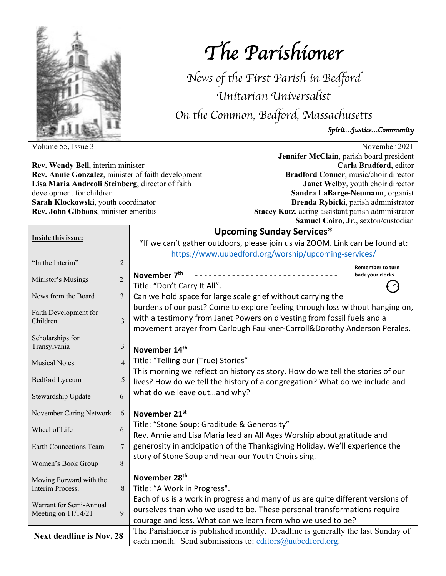

# *The Parishioner*

*News of the First Parish in Bedford Unitarian Universalist On the Common, Bedford, Massachusetts*

*Spirit…Justice…Community* 

**Rev. Wendy Bell**, interim minister **Rev. Annie Gonzalez**, minister of faith development **Lisa Maria Andreoli Steinberg**, director of faith development for children **Sarah Klockowski**, youth coordinator **Rev. John Gibbons**, minister emeritus

Volume 55, Issue 3 November 2021 **Jennifer McClain**, parish board president **Carla Bradford**, editor **Bradford Conner**, music/choir director **Janet Welby**, youth choir director **Sandra LaBarge-Neumann**, organist **Brenda Rybicki**, parish administrator **Stacey Katz,** acting assistant parish administrator **Samuel Coiro, Jr**., sexton/custodian

| Inside this issue:                             |                | <b>Upcoming Sunday Services*</b>                                                                                                          |  |  |
|------------------------------------------------|----------------|-------------------------------------------------------------------------------------------------------------------------------------------|--|--|
|                                                |                | *If we can't gather outdoors, please join us via ZOOM. Link can be found at:                                                              |  |  |
|                                                |                | https://www.uubedford.org/worship/upcoming-services/                                                                                      |  |  |
| "In the Interim"                               | $\overline{2}$ | <b>Remember to turn</b>                                                                                                                   |  |  |
| Minister's Musings                             | $\overline{2}$ | November 7 <sup>th</sup><br>back your clocks                                                                                              |  |  |
|                                                |                | Title: "Don't Carry It All".                                                                                                              |  |  |
| News from the Board                            | 3              | Can we hold space for large scale grief without carrying the                                                                              |  |  |
| Faith Development for                          |                | burdens of our past? Come to explore feeling through loss without hanging on,                                                             |  |  |
| Children                                       |                | with a testimony from Janet Powers on divesting from fossil fuels and a                                                                   |  |  |
| Scholarships for                               |                | movement prayer from Carlough Faulkner-Carroll&Dorothy Anderson Perales.                                                                  |  |  |
| Transylvania                                   | 3              | November 14th                                                                                                                             |  |  |
|                                                |                | Title: "Telling our (True) Stories"                                                                                                       |  |  |
| <b>Musical Notes</b>                           | $\overline{4}$ | This morning we reflect on history as story. How do we tell the stories of our                                                            |  |  |
| Bedford Lyceum                                 | 5              | lives? How do we tell the history of a congregation? What do we include and                                                               |  |  |
|                                                |                | what do we leave outand why?                                                                                                              |  |  |
| Stewardship Update                             | 6              |                                                                                                                                           |  |  |
| November Caring Network                        | 6              | November 21 <sup>st</sup>                                                                                                                 |  |  |
| Wheel of Life                                  | 6              | Title: "Stone Soup: Graditude & Generosity"                                                                                               |  |  |
|                                                |                | Rev. Annie and Lisa Maria lead an All Ages Worship about gratitude and                                                                    |  |  |
| <b>Earth Connections Team</b>                  | 7              | generosity in anticipation of the Thanksgiving Holiday. We'll experience the                                                              |  |  |
|                                                | 8              | story of Stone Soup and hear our Youth Choirs sing.                                                                                       |  |  |
| Women's Book Group                             |                |                                                                                                                                           |  |  |
| Moving Forward with the                        |                | November 28 <sup>th</sup>                                                                                                                 |  |  |
| Interim Process.                               | 8              | Title: "A Work in Progress".                                                                                                              |  |  |
| Warrant for Semi-Annual<br>Meeting on 11/14/21 | $\mathbf{Q}$   | Each of us is a work in progress and many of us are quite different versions of                                                           |  |  |
|                                                |                | ourselves than who we used to be. These personal transformations require                                                                  |  |  |
|                                                |                | courage and loss. What can we learn from who we used to be?                                                                               |  |  |
| <b>Next deadline is Nov. 28</b>                |                | The Parishioner is published monthly. Deadline is generally the last Sunday of<br>each month. Send submissions to: editors@uubedford.org. |  |  |
|                                                |                |                                                                                                                                           |  |  |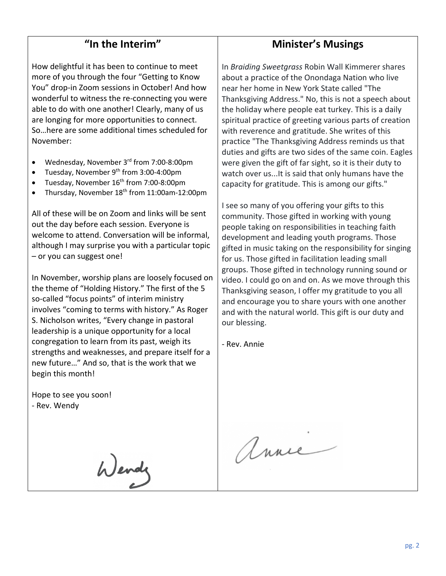# **"In the Interim"**

How delightful it has been to continue to meet more of you through the four "Getting to Know You" drop-in Zoom sessions in October! And how wonderful to witness the re-connecting you were able to do with one another! Clearly, many of us are longing for more opportunities to connect. So…here are some additional times scheduled for November:

- Wednesday, November 3<sup>rd</sup> from 7:00-8:00pm
- Tuesday, November 9th from 3:00-4:00pm
- Tuesday, November 16<sup>th</sup> from 7:00-8:00pm
- Thursday, November  $18<sup>th</sup>$  from 11:00am-12:00pm

All of these will be on Zoom and links will be sent out the day before each session. Everyone is welcome to attend. Conversation will be informal, although I may surprise you with a particular topic – or you can suggest one!

In November, worship plans are loosely focused on the theme of "Holding History." The first of the 5 so-called "focus points" of interim ministry involves "coming to terms with history." As Roger S. Nicholson writes, "Every change in pastoral leadership is a unique opportunity for a local congregation to learn from its past, weigh its strengths and weaknesses, and prepare itself for a new future…" And so, that is the work that we begin this month!

Wendy

Hope to see you soon! - Rev. Wendy

# **Minister's Musings**

In *Braiding Sweetgrass* Robin Wall Kimmerer shares about a practice of the Onondaga Nation who live near her home in New York State called "The Thanksgiving Address." No, this is not a speech about the holiday where people eat turkey. This is a daily spiritual practice of greeting various parts of creation with reverence and gratitude. She writes of this practice "The Thanksgiving Address reminds us that duties and gifts are two sides of the same coin. Eagles were given the gift of far sight, so it is their duty to watch over us...It is said that only humans have the capacity for gratitude. This is among our gifts."

I see so many of you offering your gifts to this community. Those gifted in working with young people taking on responsibilities in teaching faith development and leading youth programs. Those gifted in music taking on the responsibility for singing for us. Those gifted in facilitation leading small groups. Those gifted in technology running sound or video. I could go on and on. As we move through this Thanksgiving season, I offer my gratitude to you all and encourage you to share yours with one another and with the natural world. This gift is our duty and our blessing.

- Rev. Annie

annie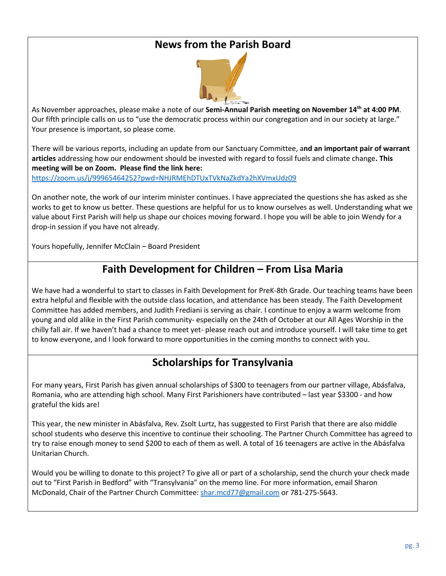## **News from the Parish Board**



As November approaches, please make a note of our **Semi-Annual Parish meeting on November 14th at 4:00 PM**. Our fifth principle calls on us to "use the democratic process within our congregation and in our society at large." Your presence is important, so please come.

There will be various reports, including an update from our Sanctuary Committee, a**nd an important pair of warrant articles** addressing how our endowment should be invested with regard to fossil fuels and climate change**. This meeting will be on Zoom. Please find the link here:** https://zoom.us/j/99965464252?pwd=NHJRMEhDTUxTVkNaZkdYa2hXVmxUdz09

On another note, the work of our interim minister continues. I have appreciated the questions she has asked as she works to get to know us better. These questions are helpful for us to know ourselves as well. Understanding what we value about First Parish will help us shape our choices moving forward. I hope you will be able to join Wendy for a drop-in session if you have not already.

Yours hopefully, Jennifer McClain – Board President

## **Faith Development for Children – From Lisa Maria**

We have had a wonderful to start to classes in Faith Development for PreK-8th Grade. Our teaching teams have been extra helpful and flexible with the outside class location, and attendance has been steady. The Faith Development Committee has added members, and Judith Frediani is serving as chair. I continue to enjoy a warm welcome from young and old alike in the First Parish community- especially on the 24th of October at our All Ages Worship in the chilly fall air. If we haven't had a chance to meet yet- please reach out and introduce yourself. I will take time to get to know everyone, and I look forward to more opportunities in the coming months to connect with you.

## **Scholarships for Transylvania**

For many years, First Parish has given annual scholarships of \$300 to teenagers from our partner village, Abásfalva, Romania, who are attending high school. Many First Parishioners have contributed – last year \$3300 - and how grateful the kids are!

This year, the new minister in Abásfalva, Rev. Zsolt Lurtz, has suggested to First Parish that there are also middle school students who deserve this incentive to continue their schooling. The Partner Church Committee has agreed to try to raise enough money to send \$200 to each of them as well. A total of 16 teenagers are active in the Abásfalva Unitarian Church.

Would you be willing to donate to this project? To give all or part of a scholarship, send the church your check made out to "First Parish in Bedford" with "Transylvania" on the memo line. For more information, email Sharon McDonald, Chair of the Partner Church Committee: shar.mcd77@gmail.com or 781-275-5643.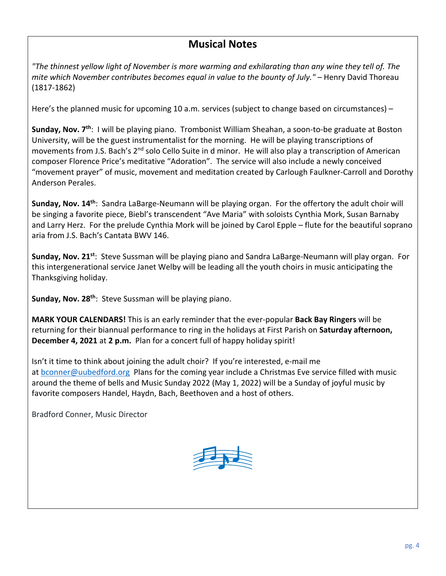## **Musical Notes**

*"The thinnest yellow light of November is more warming and exhilarating than any wine they tell of. The mite which November contributes becomes equal in value to the bounty of July."* – Henry David Thoreau (1817-1862)

Here's the planned music for upcoming 10 a.m. services (subject to change based on circumstances) –

**Sunday, Nov. 7th**: I will be playing piano. Trombonist William Sheahan, a soon-to-be graduate at Boston University, will be the guest instrumentalist for the morning. He will be playing transcriptions of movements from J.S. Bach's 2<sup>nd</sup> solo Cello Suite in d minor. He will also play a transcription of American composer Florence Price's meditative "Adoration". The service will also include a newly conceived "movement prayer" of music, movement and meditation created by Carlough Faulkner-Carroll and Dorothy Anderson Perales.

**Sunday, Nov. 14th**: Sandra LaBarge-Neumann will be playing organ. For the offertory the adult choir will be singing a favorite piece, Biebl's transcendent "Ave Maria" with soloists Cynthia Mork, Susan Barnaby and Larry Herz. For the prelude Cynthia Mork will be joined by Carol Epple – flute for the beautiful soprano aria from J.S. Bach's Cantata BWV 146.

**Sunday, Nov. 21st**: Steve Sussman will be playing piano and Sandra LaBarge-Neumann will play organ. For this intergenerational service Janet Welby will be leading all the youth choirs in music anticipating the Thanksgiving holiday.

**Sunday, Nov. 28th**: Steve Sussman will be playing piano.

**MARK YOUR CALENDARS!** This is an early reminder that the ever-popular **Back Bay Ringers** will be returning for their biannual performance to ring in the holidays at First Parish on **Saturday afternoon, December 4, 2021** at **2 p.m.** Plan for a concert full of happy holiday spirit!

Isn't it time to think about joining the adult choir? If you're interested, e-mail me at bconner@uubedford.org Plans for the coming year include a Christmas Eve service filled with music around the theme of bells and Music Sunday 2022 (May 1, 2022) will be a Sunday of joyful music by favorite composers Handel, Haydn, Bach, Beethoven and a host of others.

Bradford Conner, Music Director

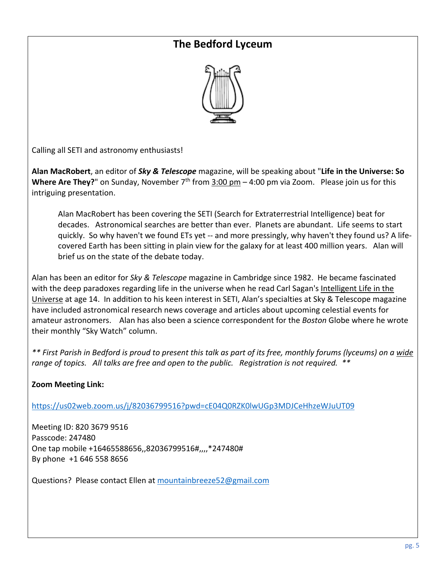## **The Bedford Lyceum**



Calling all SETI and astronomy enthusiasts!

**Alan MacRobert**, an editor of *Sky & Telescope* magazine, will be speaking about "**Life in the Universe: So Where Are They?**" on Sunday, November  $7<sup>th</sup>$  from 3:00 pm – 4:00 pm via Zoom. Please join us for this intriguing presentation.

Alan MacRobert has been covering the SETI (Search for Extraterrestrial Intelligence) beat for decades. Astronomical searches are better than ever. Planets are abundant. Life seems to start quickly. So why haven't we found ETs yet -- and more pressingly, why haven't they found us? A lifecovered Earth has been sitting in plain view for the galaxy for at least 400 million years. Alan will brief us on the state of the debate today.

Alan has been an editor for *Sky & Telescope* magazine in Cambridge since 1982. He became fascinated with the deep paradoxes regarding life in the universe when he read Carl Sagan's Intelligent Life in the Universe at age 14. In addition to his keen interest in SETI, Alan's specialties at Sky & Telescope magazine have included astronomical research news coverage and articles about upcoming celestial events for amateur astronomers. Alan has also been a science correspondent for the *Boston* Globe where he wrote their monthly "Sky Watch" column.

*\*\* First Parish in Bedford is proud to present this talk as part of its free, monthly forums (lyceums) on a wide range of topics. All talks are free and open to the public. Registration is not required. \*\**

## **Zoom Meeting Link:**

https://us02web.zoom.us/j/82036799516?pwd=cE04Q0RZK0lwUGp3MDJCeHhzeWJuUT09

Meeting ID: 820 3679 9516 Passcode: 247480 One tap mobile +16465588656,,82036799516#,,,,\*247480# By phone +1 646 558 8656

Questions? Please contact Ellen at mountainbreeze52@gmail.com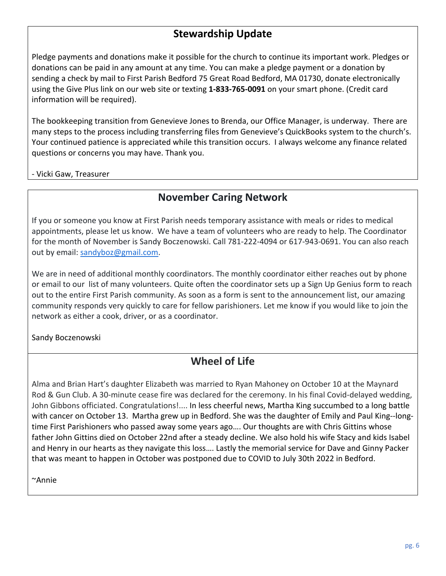## **Stewardship Update**

Pledge payments and donations make it possible for the church to continue its important work. Pledges or donations can be paid in any amount at any time. You can make a pledge payment or a donation by sending a check by mail to First Parish Bedford 75 Great Road Bedford, MA 01730, donate electronically using the Give Plus link on our web site or texting **1-833-765-0091** on your smart phone. (Credit card information will be required).

The bookkeeping transition from Genevieve Jones to Brenda, our Office Manager, is underway. There are many steps to the process including transferring files from Genevieve's QuickBooks system to the church's. Your continued patience is appreciated while this transition occurs. I always welcome any finance related questions or concerns you may have. Thank you.

- Vicki Gaw, Treasurer

## **November Caring Network**

If you or someone you know at First Parish needs temporary assistance with meals or rides to medical appointments, please let us know. We have a team of volunteers who are ready to help. The Coordinator for the month of November is Sandy Boczenowski. Call 781-222-4094 or 617-943-0691. You can also reach out by email: sandyboz@gmail.com.

We are in need of additional monthly coordinators. The monthly coordinator either reaches out by phone or email to our list of many volunteers. Quite often the coordinator sets up a Sign Up Genius form to reach out to the entire First Parish community. As soon as a form is sent to the announcement list, our amazing community responds very quickly to care for fellow parishioners. Let me know if you would like to join the network as either a cook, driver, or as a coordinator.

Sandy Boczenowski

## **Wheel of Life**

Alma and Brian Hart's daughter Elizabeth was married to Ryan Mahoney on October 10 at the Maynard Rod & Gun Club. A 30-minute cease fire was declared for the ceremony. In his final Covid-delayed wedding, John Gibbons officiated. Congratulations!.... In less cheerful news, Martha King succumbed to a long battle with cancer on October 13. Martha grew up in Bedford. She was the daughter of Emily and Paul King--longtime First Parishioners who passed away some years ago…. Our thoughts are with Chris Gittins whose father John Gittins died on October 22nd after a steady decline. We also hold his wife Stacy and kids Isabel and Henry in our hearts as they navigate this loss…. Lastly the memorial service for Dave and Ginny Packer that was meant to happen in October was postponed due to COVID to July 30th 2022 in Bedford.

~Annie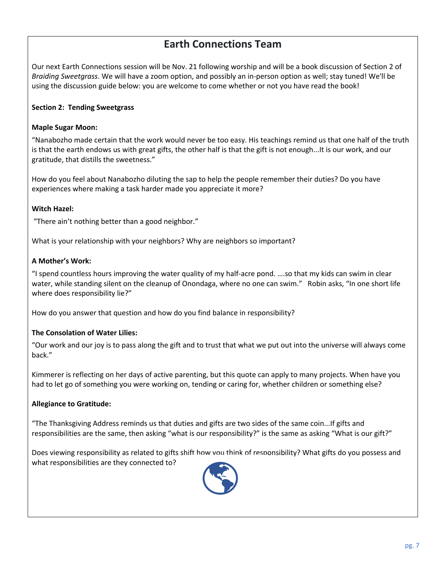## **Earth Connections Team**

Our next Earth Connections session will be Nov. 21 following worship and will be a book discussion of Section 2 of *Braiding Sweetgrass*. We will have a zoom option, and possibly an in-person option as well; stay tuned! We'll be using the discussion guide below: you are welcome to come whether or not you have read the book!

#### **Section 2: Tending Sweetgrass**

#### **Maple Sugar Moon:**

"Nanabozho made certain that the work would never be too easy. His teachings remind us that one half of the truth is that the earth endows us with great gifts, the other half is that the gift is not enough...It is our work, and our gratitude, that distills the sweetness."

How do you feel about Nanabozho diluting the sap to help the people remember their duties? Do you have experiences where making a task harder made you appreciate it more?

#### **Witch Hazel:**

"There ain't nothing better than a good neighbor."

What is your relationship with your neighbors? Why are neighbors so important?

#### **A Mother's Work:**

"I spend countless hours improving the water quality of my half-acre pond. ….so that my kids can swim in clear water, while standing silent on the cleanup of Onondaga, where no one can swim." Robin asks, "In one short life where does responsibility lie?"

How do you answer that question and how do you find balance in responsibility?

#### **The Consolation of Water Lilies:**

"Our work and our joy is to pass along the gift and to trust that what we put out into the universe will always come back."

Kimmerer is reflecting on her days of active parenting, but this quote can apply to many projects. When have you had to let go of something you were working on, tending or caring for, whether children or something else?

#### **Allegiance to Gratitude:**

"The Thanksgiving Address reminds us that duties and gifts are two sides of the same coin...If gifts and responsibilities are the same, then asking "what is our responsibility?" is the same as asking "What is our gift?"

Does viewing responsibility as related to gifts shift how you think of responsibility? What gifts do you possess and what responsibilities are they connected to?

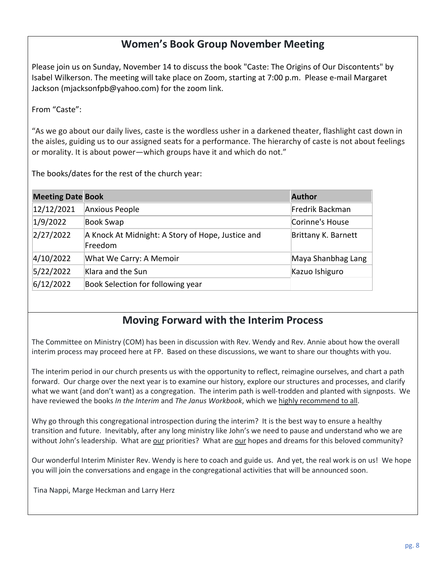## **Women's Book Group November Meeting**

Please join us on Sunday, November 14 to discuss the book "Caste: The Origins of Our Discontents" by Isabel Wilkerson. The meeting will take place on Zoom, starting at 7:00 p.m. Please e-mail Margaret Jackson (mjacksonfpb@yahoo.com) for the zoom link.

From "Caste":

"As we go about our daily lives, caste is the wordless usher in a darkened theater, flashlight cast down in the aisles, guiding us to our assigned seats for a performance. The hierarchy of caste is not about feelings or morality. It is about power—which groups have it and which do not."

The books/dates for the rest of the church year:

| <b>Meeting Date Book</b> |                                                              | <b>Author</b>       |
|--------------------------|--------------------------------------------------------------|---------------------|
| 12/12/2021               | Anxious People                                               | Fredrik Backman     |
| 1/9/2022                 | Book Swap                                                    | Corinne's House     |
| 2/27/2022                | A Knock At Midnight: A Story of Hope, Justice and<br>Freedom | Brittany K. Barnett |
| 4/10/2022                | What We Carry: A Memoir                                      | Maya Shanbhag Lang  |
| 5/22/2022                | Klara and the Sun                                            | Kazuo Ishiguro      |
| 6/12/2022                | Book Selection for following year                            |                     |

## **Moving Forward with the Interim Process**

The Committee on Ministry (COM) has been in discussion with Rev. Wendy and Rev. Annie about how the overall interim process may proceed here at FP. Based on these discussions, we want to share our thoughts with you.

The interim period in our church presents us with the opportunity to reflect, reimagine ourselves, and chart a path forward. Our charge over the next year is to examine our history, explore our structures and processes, and clarify what we want (and don't want) as a congregation. The interim path is well-trodden and planted with signposts. We have reviewed the books *In the Interim* and *The Janus Workbook*, which we highly recommend to all.

Why go through this congregational introspection during the interim? It is the best way to ensure a healthy transition and future. Inevitably, after any long ministry like John's we need to pause and understand who we are without John's leadership. What are our priorities? What are our hopes and dreams for this beloved community?

Our wonderful Interim Minister Rev. Wendy is here to coach and guide us. And yet, the real work is on us! We hope you will join the conversations and engage in the congregational activities that will be announced soon.

Tina Nappi, Marge Heckman and Larry Herz